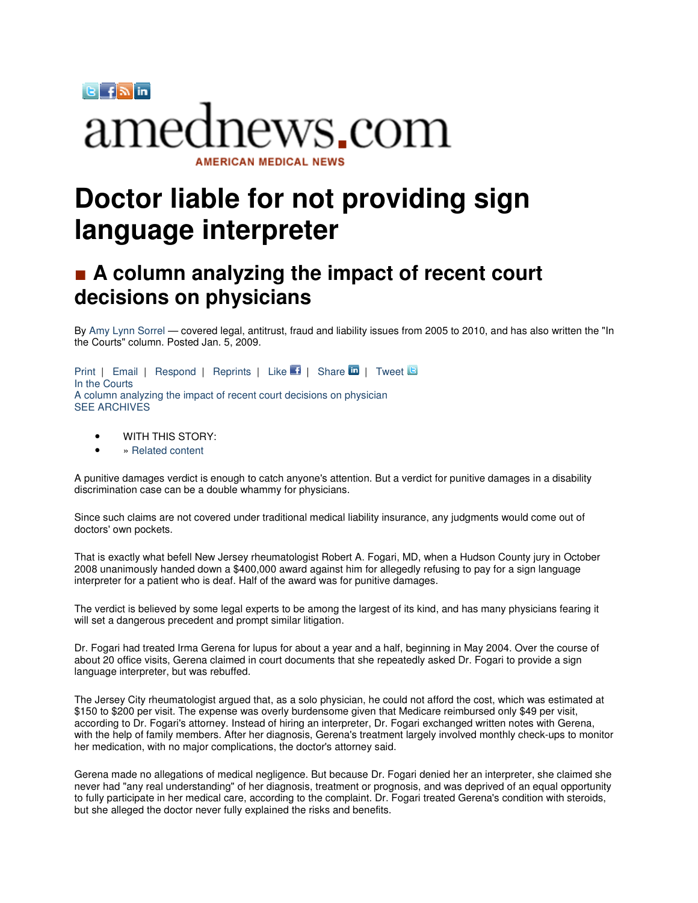

## **Doctor liable for not providing sign language interpreter**

## ■ A column analyzing the impact of recent court **decisions on physicians**

By Amy Lynn Sorrel — covered legal, antitrust, fraud and liability issues from 2005 to 2010, and has also written the "In the Courts" column. Posted Jan. 5, 2009.

Print | Email | Respond | Reprints | Like | Share | Tweet | S In the Courts A column analyzing the impact of recent court decisions on physician SEE ARCHIVES

- WITH THIS STORY:
- » Related content

A punitive damages verdict is enough to catch anyone's attention. But a verdict for punitive damages in a disability discrimination case can be a double whammy for physicians.

Since such claims are not covered under traditional medical liability insurance, any judgments would come out of doctors' own pockets.

That is exactly what befell New Jersey rheumatologist Robert A. Fogari, MD, when a Hudson County jury in October 2008 unanimously handed down a \$400,000 award against him for allegedly refusing to pay for a sign language interpreter for a patient who is deaf. Half of the award was for punitive damages.

The verdict is believed by some legal experts to be among the largest of its kind, and has many physicians fearing it will set a dangerous precedent and prompt similar litigation.

Dr. Fogari had treated Irma Gerena for lupus for about a year and a half, beginning in May 2004. Over the course of about 20 office visits, Gerena claimed in court documents that she repeatedly asked Dr. Fogari to provide a sign language interpreter, but was rebuffed.

The Jersey City rheumatologist argued that, as a solo physician, he could not afford the cost, which was estimated at \$150 to \$200 per visit. The expense was overly burdensome given that Medicare reimbursed only \$49 per visit, according to Dr. Fogari's attorney. Instead of hiring an interpreter, Dr. Fogari exchanged written notes with Gerena, with the help of family members. After her diagnosis, Gerena's treatment largely involved monthly check-ups to monitor her medication, with no major complications, the doctor's attorney said.

Gerena made no allegations of medical negligence. But because Dr. Fogari denied her an interpreter, she claimed she never had "any real understanding" of her diagnosis, treatment or prognosis, and was deprived of an equal opportunity to fully participate in her medical care, according to the complaint. Dr. Fogari treated Gerena's condition with steroids, but she alleged the doctor never fully explained the risks and benefits.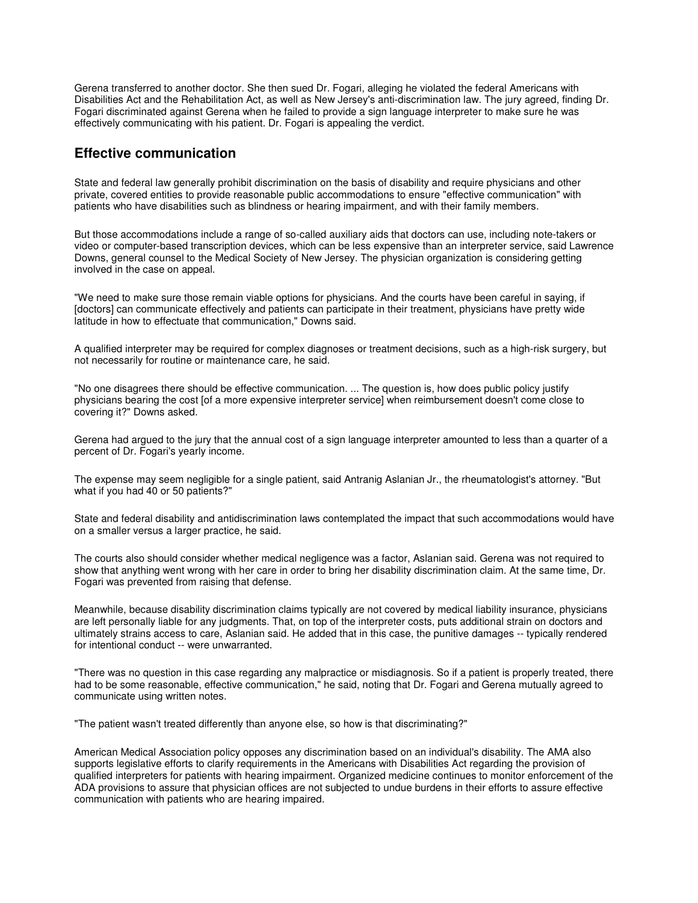Gerena transferred to another doctor. She then sued Dr. Fogari, alleging he violated the federal Americans with Disabilities Act and the Rehabilitation Act, as well as New Jersey's anti-discrimination law. The jury agreed, finding Dr. Fogari discriminated against Gerena when he failed to provide a sign language interpreter to make sure he was effectively communicating with his patient. Dr. Fogari is appealing the verdict.

## **Effective communication**

State and federal law generally prohibit discrimination on the basis of disability and require physicians and other private, covered entities to provide reasonable public accommodations to ensure "effective communication" with patients who have disabilities such as blindness or hearing impairment, and with their family members.

But those accommodations include a range of so-called auxiliary aids that doctors can use, including note-takers or video or computer-based transcription devices, which can be less expensive than an interpreter service, said Lawrence Downs, general counsel to the Medical Society of New Jersey. The physician organization is considering getting involved in the case on appeal.

"We need to make sure those remain viable options for physicians. And the courts have been careful in saying, if [doctors] can communicate effectively and patients can participate in their treatment, physicians have pretty wide latitude in how to effectuate that communication," Downs said.

A qualified interpreter may be required for complex diagnoses or treatment decisions, such as a high-risk surgery, but not necessarily for routine or maintenance care, he said.

"No one disagrees there should be effective communication. ... The question is, how does public policy justify physicians bearing the cost [of a more expensive interpreter service] when reimbursement doesn't come close to covering it?" Downs asked.

Gerena had argued to the jury that the annual cost of a sign language interpreter amounted to less than a quarter of a percent of Dr. Fogari's yearly income.

The expense may seem negligible for a single patient, said Antranig Aslanian Jr., the rheumatologist's attorney. "But what if you had 40 or 50 patients?"

State and federal disability and antidiscrimination laws contemplated the impact that such accommodations would have on a smaller versus a larger practice, he said.

The courts also should consider whether medical negligence was a factor, Aslanian said. Gerena was not required to show that anything went wrong with her care in order to bring her disability discrimination claim. At the same time, Dr. Fogari was prevented from raising that defense.

Meanwhile, because disability discrimination claims typically are not covered by medical liability insurance, physicians are left personally liable for any judgments. That, on top of the interpreter costs, puts additional strain on doctors and ultimately strains access to care, Aslanian said. He added that in this case, the punitive damages -- typically rendered for intentional conduct -- were unwarranted.

"There was no question in this case regarding any malpractice or misdiagnosis. So if a patient is properly treated, there had to be some reasonable, effective communication," he said, noting that Dr. Fogari and Gerena mutually agreed to communicate using written notes.

"The patient wasn't treated differently than anyone else, so how is that discriminating?"

American Medical Association policy opposes any discrimination based on an individual's disability. The AMA also supports legislative efforts to clarify requirements in the Americans with Disabilities Act regarding the provision of qualified interpreters for patients with hearing impairment. Organized medicine continues to monitor enforcement of the ADA provisions to assure that physician offices are not subjected to undue burdens in their efforts to assure effective communication with patients who are hearing impaired.